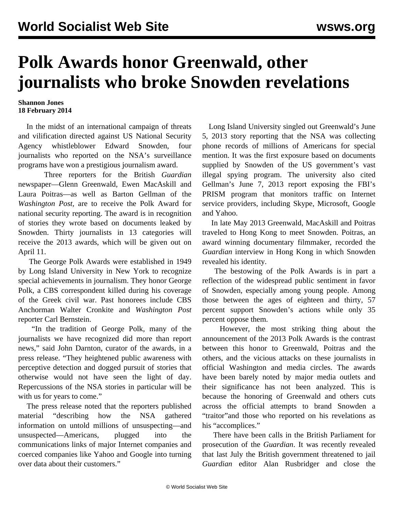## **Polk Awards honor Greenwald, other journalists who broke Snowden revelations**

## **Shannon Jones 18 February 2014**

 In the midst of an international campaign of threats and vilification directed against US National Security Agency whistleblower Edward Snowden, four journalists who reported on the NSA's surveillance programs have won a prestigious journalism award.

 Three reporters for the British *Guardian* newspaper—Glenn Greenwald, Ewen MacAskill and Laura Poitras—as well as Barton Gellman of the *Washington Post,* are to receive the Polk Award for national security reporting. The award is in recognition of stories they wrote based on documents leaked by Snowden. Thirty journalists in 13 categories will receive the 2013 awards, which will be given out on April 11.

 The George Polk Awards were established in 1949 by Long Island University in New York to recognize special achievements in journalism. They honor George Polk, a CBS correspondent killed during his coverage of the Greek civil war. Past honorees include CBS Anchorman Walter Cronkite and *Washington Post* reporter Carl Bernstein.

 "In the tradition of George Polk, many of the journalists we have recognized did more than report news," said John Darnton, curator of the awards, in a press release. "They heightened public awareness with perceptive detection and dogged pursuit of stories that otherwise would not have seen the light of day. Repercussions of the NSA stories in particular will be with us for years to come."

 The press release noted that the reporters published material "describing how the NSA gathered information on untold millions of unsuspecting—and unsuspected—Americans, plugged into the communications links of major Internet companies and coerced companies like Yahoo and Google into turning over data about their customers."

 Long Island University singled out Greenwald's June 5, 2013 story reporting that the NSA was collecting phone records of millions of Americans for special mention. It was the first exposure based on documents supplied by Snowden of the US government's vast illegal spying program. The university also cited Gellman's June 7, 2013 report exposing the FBI's PRISM program that monitors traffic on Internet service providers, including Skype, Microsoft, Google and Yahoo.

 In late May 2013 Greenwald, MacAskill and Poitras traveled to Hong Kong to meet Snowden. Poitras, an award winning documentary filmmaker, recorded the *Guardian* interview in Hong Kong in which Snowden revealed his identity.

 The bestowing of the Polk Awards is in part a reflection of the widespread public sentiment in favor of Snowden, especially among young people. Among those between the ages of eighteen and thirty, 57 percent support Snowden's actions while only 35 percent oppose them.

 However, the most striking thing about the announcement of the 2013 Polk Awards is the contrast between this honor to Greenwald, Poitras and the others, and the vicious attacks on these journalists in official Washington and media circles. The awards have been barely noted by major media outlets and their significance has not been analyzed. This is because the honoring of Greenwald and others cuts across the official attempts to brand Snowden a "traitor"and those who reported on his revelations as his "accomplices."

 There have been calls in the British Parliament for prosecution of the *Guardian*. It was recently revealed that last July the British government threatened to jail *Guardian* editor Alan Rusbridger and close the